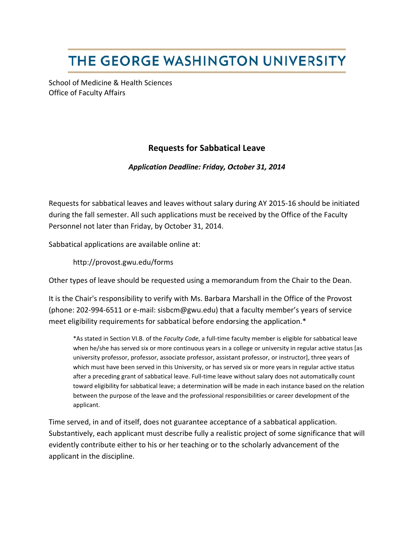## THE GEORGE WASHINGTON UNIVERSITY

School of Medicine & Health Sciences **Office of Faculty Affairs** 

## **Requests for Sabbatical Leave**

**Application Deadline: Friday, October 31, 2014** 

Requests for sabbatical leaves and leaves without salary during AY 2015-16 should be initiated during the fall semester. All such applications must be received by the Office of the Faculty Personnel not later than Friday, by October 31, 2014.

Sabbatical applications are available online at:

http://provost.gwu.edu/forms

Other types of leave should be requested using a memorandum from the Chair to the Dean.

It is the Chair's responsibility to verify with Ms. Barbara Marshall in the Office of the Provost (phone: 202-994-6511 or e-mail: sisbcm@gwu.edu) that a faculty member's years of service meet eligibility requirements for sabbatical before endorsing the application.\*

\*As stated in Section VI.B. of the Faculty Code, a full-time faculty member is eligible for sabbatical leave when he/she has served six or more continuous years in a college or university in regular active status [as university professor, professor, associate professor, assistant professor, or instructor], three years of which must have been served in this University, or has served six or more years in regular active status after a preceding grant of sabbatical leave. Full-time leave without salary does not automatically count toward eligibility for sabbatical leave; a determination will be made in each instance based on the relation between the purpose of the leave and the professional responsibilities or career development of the applicant.

Time served, in and of itself, does not guarantee acceptance of a sabbatical application. Substantively, each applicant must describe fully a realistic project of some significance that will evidently contribute either to his or her teaching or to the scholarly advancement of the applicant in the discipline.